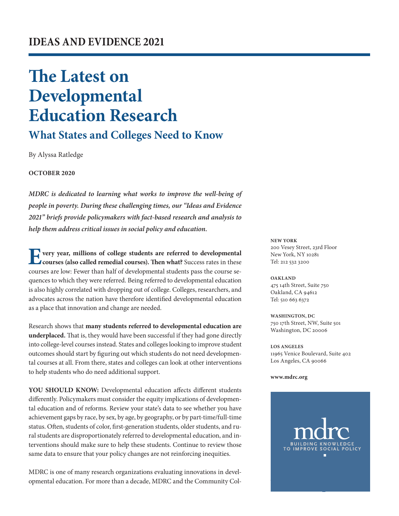# **The Latest on Developmental Education Research**

## **What States and Colleges Need to Know**

By Alyssa Ratledge

#### **OCTOBER 2020**

*MDRC is dedicated to learning what works to improve the well-being of people in poverty. During these challenging times, our "Ideas and Evidence 2021" briefs provide policymakers with fact-based research and analysis to help them address critical issues in social policy and education.*

**E** very year, millions of college students are referred to developmental **courses (also called remedial courses). Then what?** Success rates in these courses are low: Fewer than half of developmental students pass the course sequences to which they were referred. Being referred to developmental education is also highly correlated with dropping out of college. Colleges, researchers, and advocates across the nation have therefore identified developmental education as a place that innovation and change are needed.

Research shows that **many students referred to developmental education are underplaced.** That is, they would have been successful if they had gone directly into college-level courses instead. States and colleges looking to improve student outcomes should start by figuring out which students do not need developmental courses at all. From there, states and colleges can look at other interventions to help students who do need additional support.

**YOU SHOULD KNOW:** Developmental education affects different students differently. Policymakers must consider the equity implications of developmental education and of reforms. Review your state's data to see whether you have achievement gaps by race, by sex, by age, by geography, or by part-time/full-time status. Often, students of color, first-generation students, older students, and rural students are disproportionately referred to developmental education, and interventions should make sure to help these students. Continue to review those same data to ensure that your policy changes are not reinforcing inequities.

MDRC is one of many research organizations evaluating innovations in developmental education. For more than a decade, MDRC and the Community Col**NEW YORK** 200 Vesey Street, 23rd Floor New York, NY 10281 Tel: 212 532 3200

**OAKLAND** 475 14th Street, Suite 750 Oakland, CA 94612 Tel: 510 663 6372

**WASHINGTON, DC** 750 17th Street, NW, Suite 501 Washington, DC 20006

**LOS ANGELES** 11965 Venice Boulevard, Suite 402 Los Angeles, CA 90066

**[www.mdrc.org](http://www.mdrc.org)**

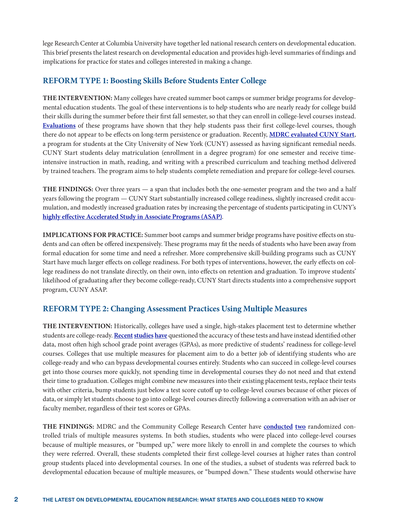lege Research Center at Columbia University have together led national research centers on developmental education. This brief presents the latest research on developmental education and provides high-level summaries of findings and implications for practice for states and colleges interested in making a change.

#### **REFORM TYPE 1: Boosting Skills Before Students Enter College**

**THE INTERVENTION:** Many colleges have created summer boot camps or summer bridge programs for developmental education students. The goal of these interventions is to help students who are nearly ready for college build their skills during the summer before their first fall semester, so that they can enroll in college-level courses instead. **[Evaluations](https://www.mdrc.org/project/texas-developmental-summer-bridge-study#overview)** of these programs have shown that they help students pass their first college-level courses, though there do not appear to be effects on long-term persistence or graduation. Recently, **[MDRC evaluated CUNY Start](https://www.mdrc.org/project/addressing-students-remedial-needs-evaluation-cuny-start-and-other-strategies#overview)**, a program for students at the City University of New York (CUNY) assessed as having significant remedial needs. CUNY Start students delay matriculation (enrollment in a degree program) for one semester and receive timeintensive instruction in math, reading, and writing with a prescribed curriculum and teaching method delivered by trained teachers. The program aims to help students complete remediation and prepare for college-level courses.

**THE FINDINGS:** Over three years — a span that includes both the one-semester program and the two and a half years following the program — CUNY Start substantially increased college readiness, slightly increased credit accumulation, and modestly increased graduation rates by increasing the percentage of students participating in CUNY's **[highly effective Accelerated Study in Associate Programs \(ASAP\)](https://www.mdrc.org/project/evaluation-accelerated-study-associate-programs-asap-developmental-education-students#overview)**.

**IMPLICATIONS FOR PRACTICE:** Summer boot camps and summer bridge programs have positive effects on students and can often be offered inexpensively. These programs may fit the needs of students who have been away from formal education for some time and need a refresher. More comprehensive skill-building programs such as CUNY Start have much larger effects on college readiness. For both types of interventions, however, the early effects on college readiness do not translate directly, on their own, into effects on retention and graduation. To improve students' likelihood of graduating after they become college-ready, CUNY Start directs students into a comprehensive support program, CUNY ASAP.

#### **REFORM TYPE 2: Changing Assessment Practices Using Multiple Measures**

**THE INTERVENTION:** Historically, colleges have used a single, high-stakes placement test to determine whether students are college-ready. **[Recent](https://ccrc.tc.columbia.edu/media/k2/attachments/predicting-success-placement-tests-transcripts.pdf)[studies](https://files.eric.ed.gov/fulltext/ED573041.pdf) [have](https://ccrc.tc.columbia.edu/media/k2/attachments/high-stakes-predict-success.pdf)** questioned the accuracy of these tests and have instead identified other data, most often high school grade point averages (GPAs), as more predictive of students' readiness for college-level courses. Colleges that use multiple measures for placement aim to do a better job of identifying students who are college-ready and who can bypass developmental courses entirely. Students who can succeed in college-level courses get into those courses more quickly, not spending time in developmental courses they do not need and that extend their time to graduation. Colleges might combine new measures into their existing placement tests, replace their tests with other criteria, bump students just below a test score cutoff up to college-level courses because of other pieces of data, or simply let students choose to go into college-level courses directly following a conversation with an adviser or faculty member, regardless of their test scores or GPAs.

**THE FINDINGS:** MDRC and the Community College Research Center have **[conducted](https://postsecondaryreadiness.org/research/projects/alternative-placement-systems/) [two](https://www.mdrc.org/project/multiple-measures-assessment-project#overview)** randomized controlled trials of multiple measures systems. In both studies, students who were placed into college-level courses because of multiple measures, or "bumped up," were more likely to enroll in and complete the courses to which they were referred. Overall, these students completed their first college-level courses at higher rates than control group students placed into developmental courses. In one of the studies, a subset of students was referred back to developmental education because of multiple measures, or "bumped down." These students would otherwise have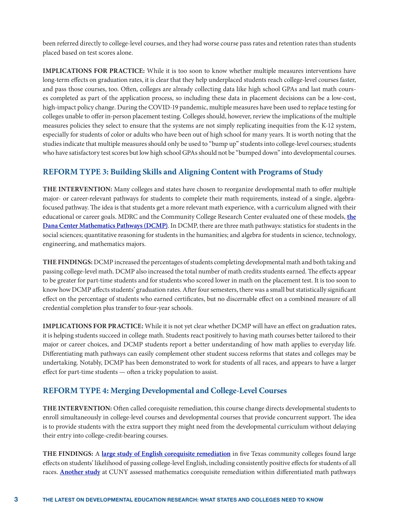been referred directly to college-level courses, and they had worse course pass rates and retention rates than students placed based on test scores alone.

**IMPLICATIONS FOR PRACTICE:** While it is too soon to know whether multiple measures interventions have long-term effects on graduation rates, it is clear that they help underplaced students reach college-level courses faster, and pass those courses, too. Often, colleges are already collecting data like high school GPAs and last math courses completed as part of the application process, so including these data in placement decisions can be a low-cost, high-impact policy change. During the COVID-19 pandemic, multiple measures have been used to replace testing for colleges unable to offer in-person placement testing. Colleges should, however, review the implications of the multiple measures policies they select to ensure that the systems are not simply replicating inequities from the K-12 system, especially for students of color or adults who have been out of high school for many years. It is worth noting that the studies indicate that multiple measures should only be used to "bump up" students into college-level courses; students who have satisfactory test scores but low high school GPAs should not be "bumped down" into developmental courses.

#### **REFORM TYPE 3: Building Skills and Aligning Content with Programs of Study**

**THE INTERVENTION:** Many colleges and states have chosen to reorganize developmental math to offer multiple major- or career-relevant pathways for students to complete their math requirements, instead of a single, algebrafocused pathway. The idea is that students get a more relevant math experience, with a curriculum aligned with their educational or career goals. MDRC and the Community College Research Center evaluated one of these models, **[the](https://postsecondaryreadiness.org/research/projects/developmental-math-pathways/) [Dana Center Mathematics Pathways](https://postsecondaryreadiness.org/research/projects/developmental-math-pathways/) (DCMP)**. In DCMP, there are three math pathways: statistics for students in the social sciences; quantitative reasoning for students in the humanities; and algebra for students in science, technology, engineering, and mathematics majors.

**THE FINDINGS:** DCMP increased the percentages of students completing developmental math and both taking and passing college-level math. DCMP also increased the total number of math credits students earned. The effects appear to be greater for part-time students and for students who scored lower in math on the placement test. It is too soon to know how DCMP affects students' graduation rates. After four semesters, there was a small but statistically significant effect on the percentage of students who earned certificates, but no discernable effect on a combined measure of all credential completion plus transfer to four-year schools.

**IMPLICATIONS FOR PRACTICE:** While it is not yet clear whether DCMP will have an effect on graduation rates, it is helping students succeed in college math. Students react positively to having math courses better tailored to their major or career choices, and DCMP students report a better understanding of how math applies to everyday life. Differentiating math pathways can easily complement other student success reforms that states and colleges may be undertaking. Notably, DCMP has been demonstrated to work for students of all races, and appears to have a larger effect for part-time students — often a tricky population to assist.

### **REFORM TYPE 4: Merging Developmental and College-Level Courses**

**THE INTERVENTION:** Often called corequisite remediation, this course change directs developmental students to enroll simultaneously in college-level courses and developmental courses that provide concurrent support. The idea is to provide students with the extra support they might need from the developmental curriculum without delaying their entry into college-credit-bearing courses.

**THE FINDINGS:** A **[large study of English corequisite remediation](https://collegecompletionnetwork.org/sites/default/files/2020-05/ExpermntlEvidncCoreqRemed-508.pdf)** in five Texas community colleges found large effects on students' likelihood of passing college-level English, including consistently positive effects for students of all races. **[Another study](https://journals.sagepub.com/doi/full/10.3102/0162373719848777)** at CUNY assessed mathematics corequisite remediation within differentiated math pathways